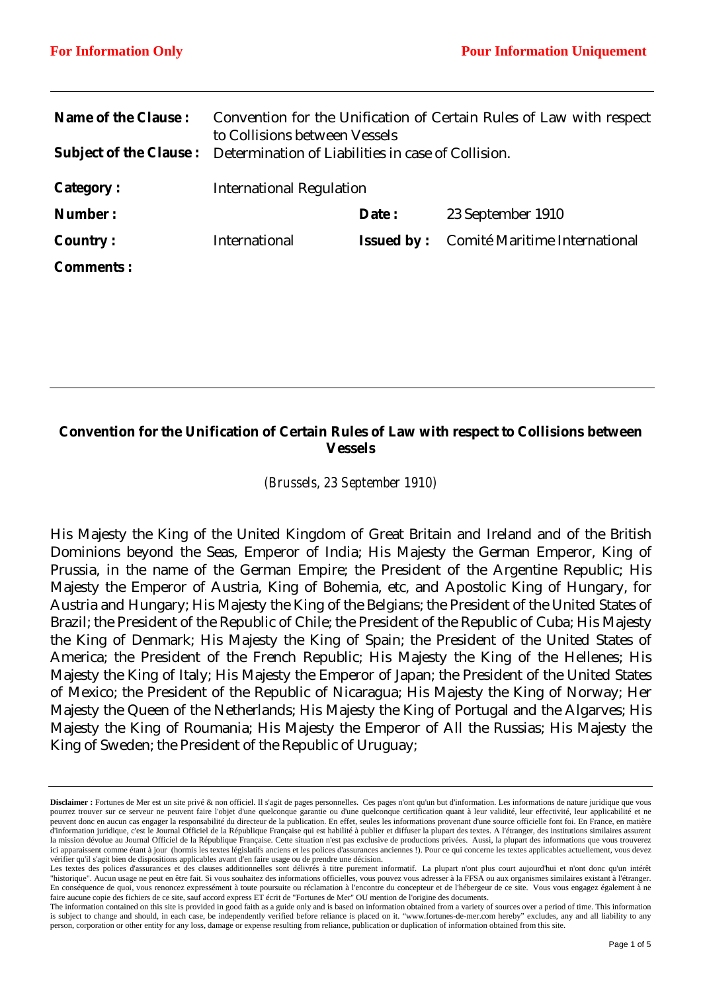| <b>Name of the Clause:</b> | Convention for the Unification of Certain Rules of Law with respect<br>to Collisions between Vessels<br><b>Subject of the Clause:</b> Determination of Liabilities in case of Collision. |       |                                                 |
|----------------------------|------------------------------------------------------------------------------------------------------------------------------------------------------------------------------------------|-------|-------------------------------------------------|
|                            |                                                                                                                                                                                          |       |                                                 |
| <b>Category:</b>           | <b>International Regulation</b>                                                                                                                                                          |       |                                                 |
| Number:                    |                                                                                                                                                                                          | Date: | 23 September 1910                               |
| <b>Country:</b>            | <b>International</b>                                                                                                                                                                     |       | <b>Issued by:</b> Comité Maritime International |
| <b>Comments:</b>           |                                                                                                                                                                                          |       |                                                 |

# **Convention for the Unification of Certain Rules of Law with respect to Collisions between Vessels**

*(Brussels, 23 September 1910)* 

His Majesty the King of the United Kingdom of Great Britain and Ireland and of the British Dominions beyond the Seas, Emperor of India; His Majesty the German Emperor, King of Prussia, in the name of the German Empire; the President of the Argentine Republic; His Majesty the Emperor of Austria, King of Bohemia, etc, and Apostolic King of Hungary, for Austria and Hungary; His Majesty the King of the Belgians; the President of the United States of Brazil; the President of the Republic of Chile; the President of the Republic of Cuba; His Majesty the King of Denmark; His Majesty the King of Spain; the President of the United States of America; the President of the French Republic; His Majesty the King of the Hellenes; His Majesty the King of Italy; His Majesty the Emperor of Japan; the President of the United States of Mexico; the President of the Republic of Nicaragua; His Majesty the King of Norway; Her Majesty the Queen of the Netherlands; His Majesty the King of Portugal and the Algarves; His Majesty the King of Roumania; His Majesty the Emperor of All the Russias; His Majesty the King of Sweden; the President of the Republic of Uruguay;

**Disclaimer :** Fortunes de Mer est un site privé & non officiel. Il s'agit de pages personnelles. Ces pages n'ont qu'un but d'information. Les informations de nature juridique que vous pourrez trouver sur ce serveur ne peuvent faire l'objet d'une quelconque garantie ou d'une quelconque certification quant à leur validité, leur effectivité, leur applicabilité et ne peuvent donc en aucun cas engager la responsabilité du directeur de la publication. En effet, seules les informations provenant d'une source officielle font foi. En France, en matière d'information juridique, c'est le Journal Officiel de la République Française qui est habilité à publier et diffuser la plupart des textes. A l'étranger, des institutions similaires assurent la mission dévolue au Journal Officiel de la République Française. Cette situation n'est pas exclusive de productions privées. Aussi, la plupart des informations que vous trouverez ici apparaissent comme étant à jour (hormis les textes législatifs anciens et les polices d'assurances anciennes !). Pour ce qui concerne les textes applicables actuellement, vous devez vérifier qu'il s'agit bien de dispositions applicables avant d'en faire usage ou de prendre une décision.

Les textes des polices d'assurances et des clauses additionnelles sont délivrés à titre purement informatif. La plupart n'ont plus court aujourd'hui et n'ont donc qu'un intérêt "historique". Aucun usage ne peut en être fait. Si vous souhaitez des informations officielles, vous pouvez vous adresser à la FFSA ou aux organismes similaires existant à l'étranger. En conséquence de quoi, vous renoncez expressément à toute poursuite ou réclamation à l'encontre du concepteur et de l'hébergeur de ce site. Vous vous engagez également à ne faire aucune copie des fichiers de ce site, sauf accord express ET écrit de "Fortunes de Mer" OU mention de l'origine des documents.

The information contained on this site is provided in good faith as a guide only and is based on information obtained from a variety of sources over a period of time. This information is subject to change and should, in each case, be independently verified before reliance is placed on it. "www.fortunes-de-mer.com hereby" excludes, any and all liability to any person, corporation or other entity for any loss, damage or expense resulting from reliance, publication or duplication of information obtained from this site.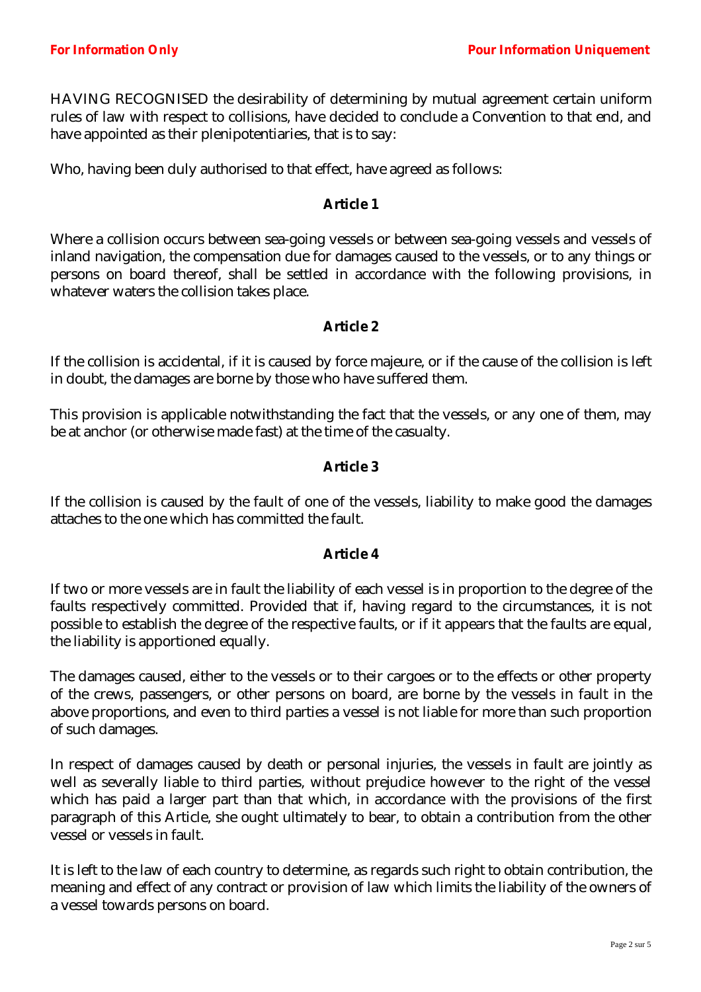HAVING RECOGNISED the desirability of determining by mutual agreement certain uniform rules of law with respect to collisions, have decided to conclude a Convention to that end, and have appointed as their plenipotentiaries, that is to say:

Who, having been duly authorised to that effect, have agreed as follows:

### **Article 1**

Where a collision occurs between sea-going vessels or between sea-going vessels and vessels of inland navigation, the compensation due for damages caused to the vessels, or to any things or persons on board thereof, shall be settled in accordance with the following provisions, in whatever waters the collision takes place.

### **Article 2**

If the collision is accidental, if it is caused by force majeure, or if the cause of the collision is left in doubt, the damages are borne by those who have suffered them.

This provision is applicable notwithstanding the fact that the vessels, or any one of them, may be at anchor (or otherwise made fast) at the time of the casualty.

# **Article 3**

If the collision is caused by the fault of one of the vessels, liability to make good the damages attaches to the one which has committed the fault.

### **Article 4**

If two or more vessels are in fault the liability of each vessel is in proportion to the degree of the faults respectively committed. Provided that if, having regard to the circumstances, it is not possible to establish the degree of the respective faults, or if it appears that the faults are equal, the liability is apportioned equally.

The damages caused, either to the vessels or to their cargoes or to the effects or other property of the crews, passengers, or other persons on board, are borne by the vessels in fault in the above proportions, and even to third parties a vessel is not liable for more than such proportion of such damages.

In respect of damages caused by death or personal injuries, the vessels in fault are jointly as well as severally liable to third parties, without prejudice however to the right of the vessel which has paid a larger part than that which, in accordance with the provisions of the first paragraph of this Article, she ought ultimately to bear, to obtain a contribution from the other vessel or vessels in fault.

It is left to the law of each country to determine, as regards such right to obtain contribution, the meaning and effect of any contract or provision of law which limits the liability of the owners of a vessel towards persons on board.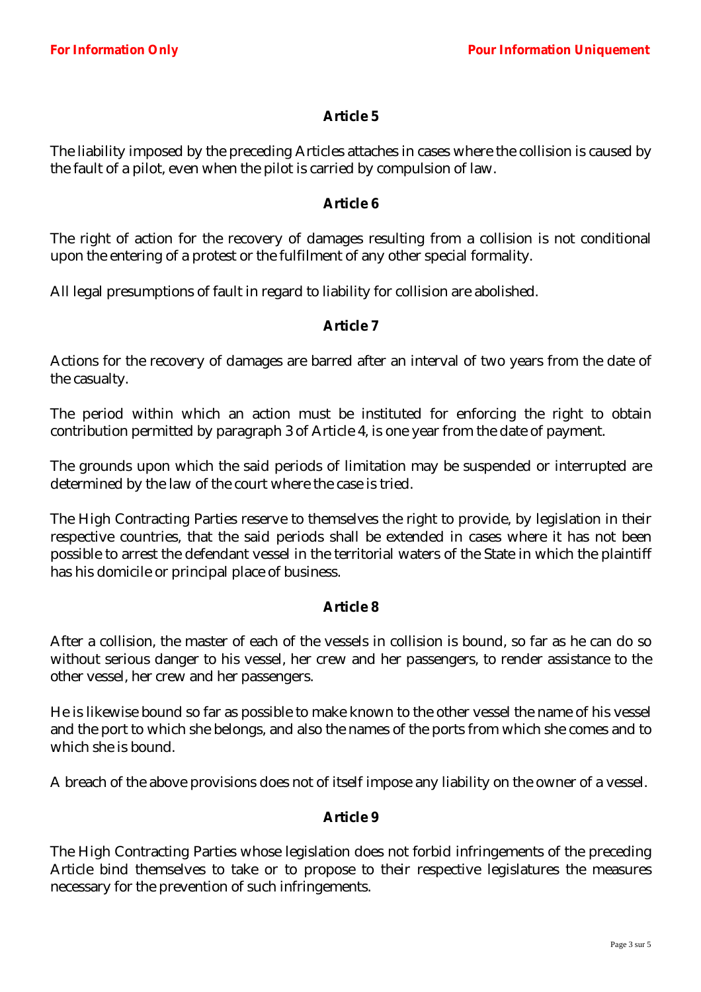## **Article 5**

The liability imposed by the preceding Articles attaches in cases where the collision is caused by the fault of a pilot, even when the pilot is carried by compulsion of law.

### **Article 6**

The right of action for the recovery of damages resulting from a collision is not conditional upon the entering of a protest or the fulfilment of any other special formality.

All legal presumptions of fault in regard to liability for collision are abolished.

### **Article 7**

Actions for the recovery of damages are barred after an interval of two years from the date of the casualty.

The period within which an action must be instituted for enforcing the right to obtain contribution permitted by paragraph 3 of Article 4, is one year from the date of payment.

The grounds upon which the said periods of limitation may be suspended or interrupted are determined by the law of the court where the case is tried.

The High Contracting Parties reserve to themselves the right to provide, by legislation in their respective countries, that the said periods shall be extended in cases where it has not been possible to arrest the defendant vessel in the territorial waters of the State in which the plaintiff has his domicile or principal place of business.

### **Article 8**

After a collision, the master of each of the vessels in collision is bound, so far as he can do so without serious danger to his vessel, her crew and her passengers, to render assistance to the other vessel, her crew and her passengers.

He is likewise bound so far as possible to make known to the other vessel the name of his vessel and the port to which she belongs, and also the names of the ports from which she comes and to which she is bound.

A breach of the above provisions does not of itself impose any liability on the owner of a vessel.

### **Article 9**

The High Contracting Parties whose legislation does not forbid infringements of the preceding Article bind themselves to take or to propose to their respective legislatures the measures necessary for the prevention of such infringements.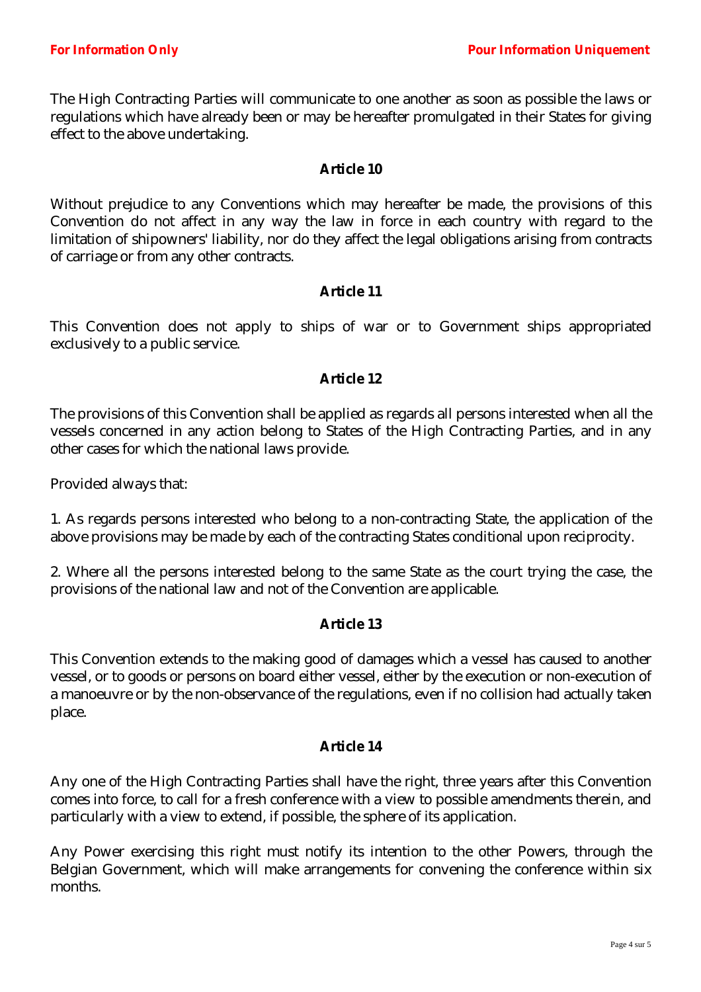The High Contracting Parties will communicate to one another as soon as possible the laws or regulations which have already been or may be hereafter promulgated in their States for giving effect to the above undertaking.

# **Article 10**

Without prejudice to any Conventions which may hereafter be made, the provisions of this Convention do not affect in any way the law in force in each country with regard to the limitation of shipowners' liability, nor do they affect the legal obligations arising from contracts of carriage or from any other contracts.

### **Article 11**

This Convention does not apply to ships of war or to Government ships appropriated exclusively to a public service.

### **Article 12**

The provisions of this Convention shall be applied as regards all persons interested when all the vessels concerned in any action belong to States of the High Contracting Parties, and in any other cases for which the national laws provide.

Provided always that:

1. As regards persons interested who belong to a non-contracting State, the application of the above provisions may be made by each of the contracting States conditional upon reciprocity.

2. Where all the persons interested belong to the same State as the court trying the case, the provisions of the national law and not of the Convention are applicable.

### **Article 13**

This Convention extends to the making good of damages which a vessel has caused to another vessel, or to goods or persons on board either vessel, either by the execution or non-execution of a manoeuvre or by the non-observance of the regulations, even if no collision had actually taken place.

### **Article 14**

Any one of the High Contracting Parties shall have the right, three years after this Convention comes into force, to call for a fresh conference with a view to possible amendments therein, and particularly with a view to extend, if possible, the sphere of its application.

Any Power exercising this right must notify its intention to the other Powers, through the Belgian Government, which will make arrangements for convening the conference within six months.